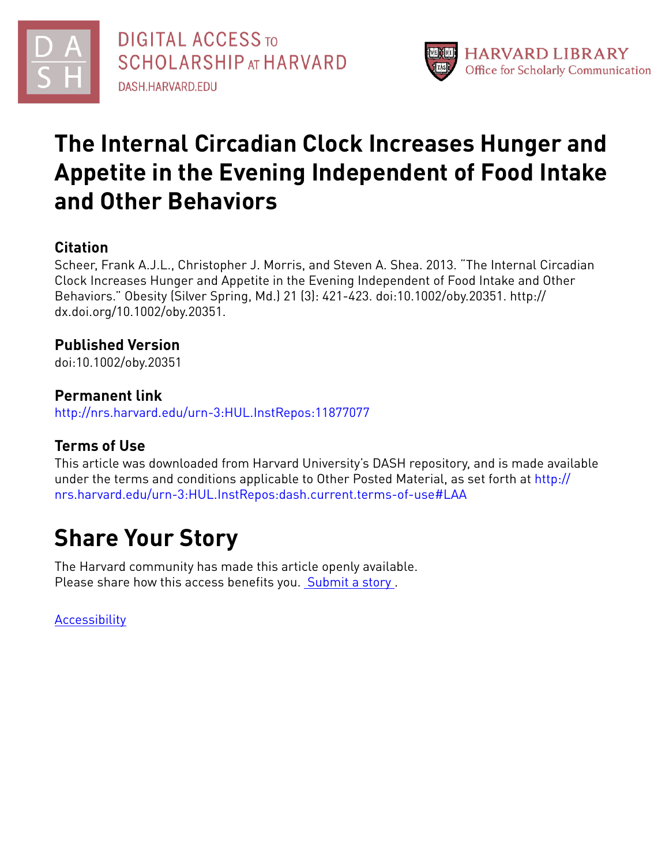



# **The Internal Circadian Clock Increases Hunger and Appetite in the Evening Independent of Food Intake and Other Behaviors**

# **Citation**

Scheer, Frank A.J.L., Christopher J. Morris, and Steven A. Shea. 2013. "The Internal Circadian Clock Increases Hunger and Appetite in the Evening Independent of Food Intake and Other Behaviors." Obesity (Silver Spring, Md.) 21 (3): 421-423. doi:10.1002/oby.20351. http:// dx.doi.org/10.1002/oby.20351.

# **Published Version**

doi:10.1002/oby.20351

# **Permanent link**

<http://nrs.harvard.edu/urn-3:HUL.InstRepos:11877077>

# **Terms of Use**

This article was downloaded from Harvard University's DASH repository, and is made available under the terms and conditions applicable to Other Posted Material, as set forth at [http://](http://nrs.harvard.edu/urn-3:HUL.InstRepos:dash.current.terms-of-use#LAA) [nrs.harvard.edu/urn-3:HUL.InstRepos:dash.current.terms-of-use#LAA](http://nrs.harvard.edu/urn-3:HUL.InstRepos:dash.current.terms-of-use#LAA)

# **Share Your Story**

The Harvard community has made this article openly available. Please share how this access benefits you. [Submit](http://osc.hul.harvard.edu/dash/open-access-feedback?handle=&title=The%20Internal%20Circadian%20Clock%20Increases%20Hunger%20and%20Appetite%20in%20the%20Evening%20Independent%20of%20Food%20Intake%20and%20Other%20Behaviors&community=1/4454685&collection=1/4454686&owningCollection1/4454686&harvardAuthors=a926c16bd267b4f38e7bb067147d27b1&department) a story.

[Accessibility](https://dash.harvard.edu/pages/accessibility)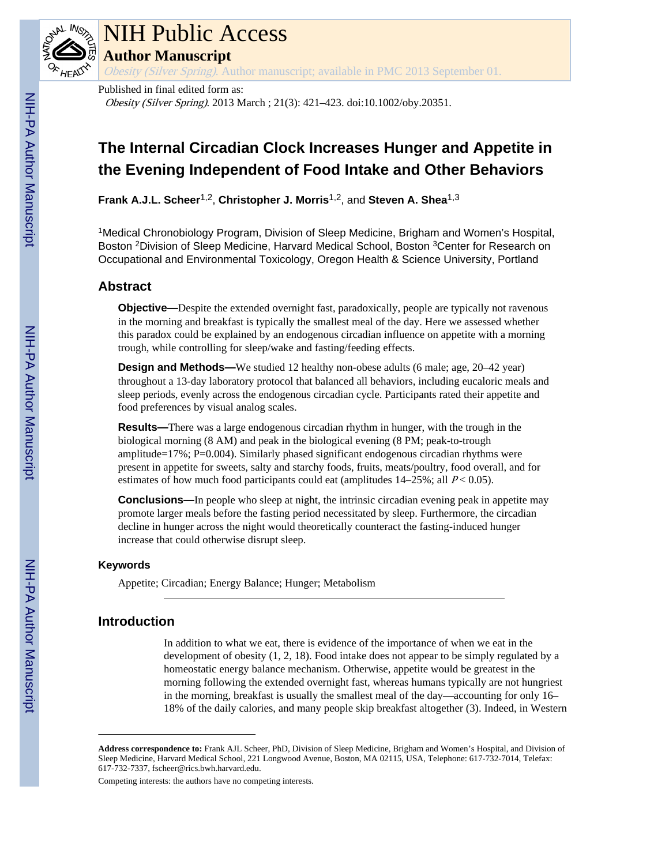

# NIH Public Access

**Author Manuscript**

Obesity (Silver Spring). Author manuscript; available in PMC 2013 September 01.

Published in final edited form as:

Obesity (Silver Spring). 2013 March ; 21(3): 421–423. doi:10.1002/oby.20351.

# **The Internal Circadian Clock Increases Hunger and Appetite in the Evening Independent of Food Intake and Other Behaviors**

**Frank A.J.L. Scheer**1,2, **Christopher J. Morris**1,2, and **Steven A. Shea**1,3

<sup>1</sup>Medical Chronobiology Program, Division of Sleep Medicine, Brigham and Women's Hospital, Boston <sup>2</sup>Division of Sleep Medicine, Harvard Medical School, Boston <sup>3</sup>Center for Research on Occupational and Environmental Toxicology, Oregon Health & Science University, Portland

## **Abstract**

**Objective—**Despite the extended overnight fast, paradoxically, people are typically not ravenous in the morning and breakfast is typically the smallest meal of the day. Here we assessed whether this paradox could be explained by an endogenous circadian influence on appetite with a morning trough, while controlling for sleep/wake and fasting/feeding effects.

**Design and Methods—**We studied 12 healthy non-obese adults (6 male; age, 20–42 year) throughout a 13-day laboratory protocol that balanced all behaviors, including eucaloric meals and sleep periods, evenly across the endogenous circadian cycle. Participants rated their appetite and food preferences by visual analog scales.

**Results—**There was a large endogenous circadian rhythm in hunger, with the trough in the biological morning (8 AM) and peak in the biological evening (8 PM; peak-to-trough amplitude=17%; P=0.004). Similarly phased significant endogenous circadian rhythms were present in appetite for sweets, salty and starchy foods, fruits, meats/poultry, food overall, and for estimates of how much food participants could eat (amplitudes  $14-25\%$ ; all  $P < 0.05$ ).

**Conclusions—In** people who sleep at night, the intrinsic circadian evening peak in appetite may promote larger meals before the fasting period necessitated by sleep. Furthermore, the circadian decline in hunger across the night would theoretically counteract the fasting-induced hunger increase that could otherwise disrupt sleep.

## **Keywords**

Appetite; Circadian; Energy Balance; Hunger; Metabolism

## **Introduction**

In addition to what we eat, there is evidence of the importance of when we eat in the development of obesity (1, 2, 18). Food intake does not appear to be simply regulated by a homeostatic energy balance mechanism. Otherwise, appetite would be greatest in the morning following the extended overnight fast, whereas humans typically are not hungriest in the morning, breakfast is usually the smallest meal of the day—accounting for only 16– 18% of the daily calories, and many people skip breakfast altogether (3). Indeed, in Western

Competing interests: the authors have no competing interests.

**Address correspondence to:** Frank AJL Scheer, PhD, Division of Sleep Medicine, Brigham and Women's Hospital, and Division of Sleep Medicine, Harvard Medical School, 221 Longwood Avenue, Boston, MA 02115, USA, Telephone: 617-732-7014, Telefax: 617-732-7337, fscheer@rics.bwh.harvard.edu.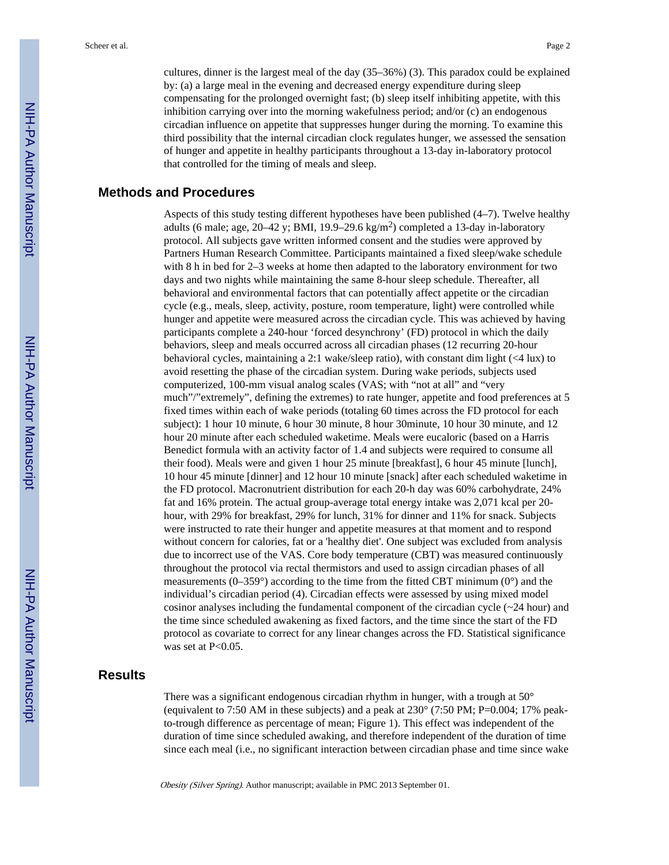cultures, dinner is the largest meal of the day (35–36%) (3). This paradox could be explained by: (a) a large meal in the evening and decreased energy expenditure during sleep compensating for the prolonged overnight fast; (b) sleep itself inhibiting appetite, with this inhibition carrying over into the morning wakefulness period; and/or (c) an endogenous circadian influence on appetite that suppresses hunger during the morning. To examine this third possibility that the internal circadian clock regulates hunger, we assessed the sensation of hunger and appetite in healthy participants throughout a 13-day in-laboratory protocol that controlled for the timing of meals and sleep.

## **Methods and Procedures**

Aspects of this study testing different hypotheses have been published (4–7). Twelve healthy adults (6 male; age, 20–42 y; BMI, 19.9–29.6 kg/m<sup>2</sup>) completed a 13-day in-laboratory protocol. All subjects gave written informed consent and the studies were approved by Partners Human Research Committee. Participants maintained a fixed sleep/wake schedule with 8 h in bed for 2–3 weeks at home then adapted to the laboratory environment for two days and two nights while maintaining the same 8-hour sleep schedule. Thereafter, all behavioral and environmental factors that can potentially affect appetite or the circadian cycle (e.g., meals, sleep, activity, posture, room temperature, light) were controlled while hunger and appetite were measured across the circadian cycle. This was achieved by having participants complete a 240-hour 'forced desynchrony' (FD) protocol in which the daily behaviors, sleep and meals occurred across all circadian phases (12 recurring 20-hour behavioral cycles, maintaining a 2:1 wake/sleep ratio), with constant dim light (<4 lux) to avoid resetting the phase of the circadian system. During wake periods, subjects used computerized, 100-mm visual analog scales (VAS; with "not at all" and "very much"/"extremely", defining the extremes) to rate hunger, appetite and food preferences at 5 fixed times within each of wake periods (totaling 60 times across the FD protocol for each subject): 1 hour 10 minute, 6 hour 30 minute, 8 hour 30minute, 10 hour 30 minute, and 12 hour 20 minute after each scheduled waketime. Meals were eucaloric (based on a Harris Benedict formula with an activity factor of 1.4 and subjects were required to consume all their food). Meals were and given 1 hour 25 minute [breakfast], 6 hour 45 minute [lunch], 10 hour 45 minute [dinner] and 12 hour 10 minute [snack] after each scheduled waketime in the FD protocol. Macronutrient distribution for each 20-h day was 60% carbohydrate, 24% fat and 16% protein. The actual group-average total energy intake was 2,071 kcal per 20 hour, with 29% for breakfast, 29% for lunch, 31% for dinner and 11% for snack. Subjects were instructed to rate their hunger and appetite measures at that moment and to respond without concern for calories, fat or a 'healthy diet'. One subject was excluded from analysis due to incorrect use of the VAS. Core body temperature (CBT) was measured continuously throughout the protocol via rectal thermistors and used to assign circadian phases of all measurements ( $0-359^\circ$ ) according to the time from the fitted CBT minimum ( $0^\circ$ ) and the individual's circadian period (4). Circadian effects were assessed by using mixed model cosinor analyses including the fundamental component of the circadian cycle (~24 hour) and the time since scheduled awakening as fixed factors, and the time since the start of the FD protocol as covariate to correct for any linear changes across the FD. Statistical significance was set at P<0.05.

## **Results**

There was a significant endogenous circadian rhythm in hunger, with a trough at 50° (equivalent to 7:50 AM in these subjects) and a peak at  $230^{\circ}$  (7:50 PM; P=0.004; 17% peakto-trough difference as percentage of mean; Figure 1). This effect was independent of the duration of time since scheduled awaking, and therefore independent of the duration of time since each meal (i.e., no significant interaction between circadian phase and time since wake

Obesity (Silver Spring). Author manuscript; available in PMC 2013 September 01.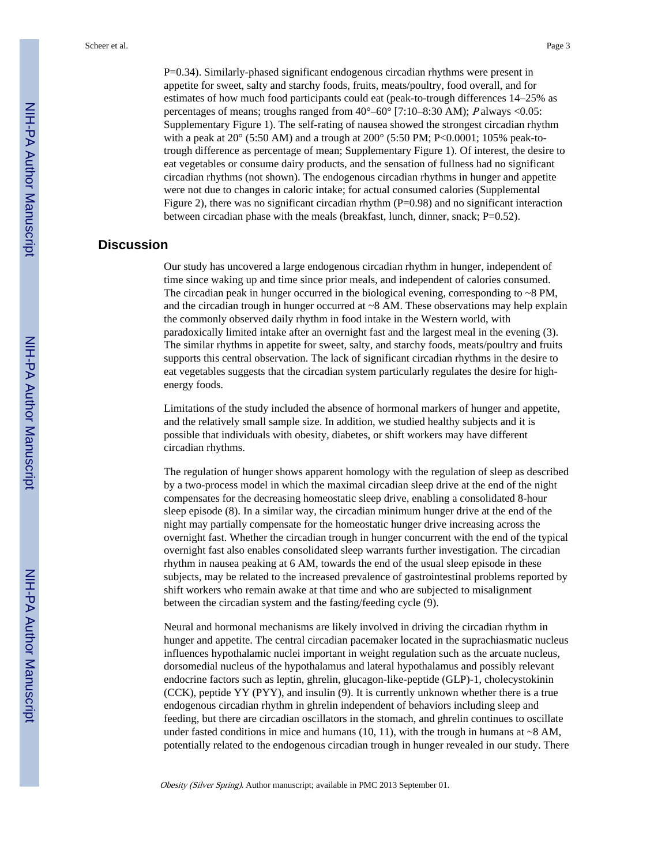P=0.34). Similarly-phased significant endogenous circadian rhythms were present in appetite for sweet, salty and starchy foods, fruits, meats/poultry, food overall, and for estimates of how much food participants could eat (peak-to-trough differences 14–25% as percentages of means; troughs ranged from  $40^{\circ} - 60^{\circ}$  [7:10–8:30 AM); P always <0.05: Supplementary Figure 1). The self-rating of nausea showed the strongest circadian rhythm with a peak at 20 $^{\circ}$  (5:50 AM) and a trough at 200 $^{\circ}$  (5:50 PM; P<0.0001; 105% peak-totrough difference as percentage of mean; Supplementary Figure 1). Of interest, the desire to eat vegetables or consume dairy products, and the sensation of fullness had no significant circadian rhythms (not shown). The endogenous circadian rhythms in hunger and appetite were not due to changes in caloric intake; for actual consumed calories (Supplemental Figure 2), there was no significant circadian rhythm (P=0.98) and no significant interaction between circadian phase with the meals (breakfast, lunch, dinner, snack; P=0.52).

### **Discussion**

Our study has uncovered a large endogenous circadian rhythm in hunger, independent of time since waking up and time since prior meals, and independent of calories consumed. The circadian peak in hunger occurred in the biological evening, corresponding to ~8 PM, and the circadian trough in hunger occurred at ~8 AM. These observations may help explain the commonly observed daily rhythm in food intake in the Western world, with paradoxically limited intake after an overnight fast and the largest meal in the evening (3). The similar rhythms in appetite for sweet, salty, and starchy foods, meats/poultry and fruits supports this central observation. The lack of significant circadian rhythms in the desire to eat vegetables suggests that the circadian system particularly regulates the desire for highenergy foods.

Limitations of the study included the absence of hormonal markers of hunger and appetite, and the relatively small sample size. In addition, we studied healthy subjects and it is possible that individuals with obesity, diabetes, or shift workers may have different circadian rhythms.

The regulation of hunger shows apparent homology with the regulation of sleep as described by a two-process model in which the maximal circadian sleep drive at the end of the night compensates for the decreasing homeostatic sleep drive, enabling a consolidated 8-hour sleep episode (8). In a similar way, the circadian minimum hunger drive at the end of the night may partially compensate for the homeostatic hunger drive increasing across the overnight fast. Whether the circadian trough in hunger concurrent with the end of the typical overnight fast also enables consolidated sleep warrants further investigation. The circadian rhythm in nausea peaking at 6 AM, towards the end of the usual sleep episode in these subjects, may be related to the increased prevalence of gastrointestinal problems reported by shift workers who remain awake at that time and who are subjected to misalignment between the circadian system and the fasting/feeding cycle (9).

Neural and hormonal mechanisms are likely involved in driving the circadian rhythm in hunger and appetite. The central circadian pacemaker located in the suprachiasmatic nucleus influences hypothalamic nuclei important in weight regulation such as the arcuate nucleus, dorsomedial nucleus of the hypothalamus and lateral hypothalamus and possibly relevant endocrine factors such as leptin, ghrelin, glucagon-like-peptide (GLP)-1, cholecystokinin (CCK), peptide YY (PYY), and insulin (9). It is currently unknown whether there is a true endogenous circadian rhythm in ghrelin independent of behaviors including sleep and feeding, but there are circadian oscillators in the stomach, and ghrelin continues to oscillate under fasted conditions in mice and humans (10, 11), with the trough in humans at  $\sim$ 8 AM, potentially related to the endogenous circadian trough in hunger revealed in our study. There

Obesity (Silver Spring). Author manuscript; available in PMC 2013 September 01.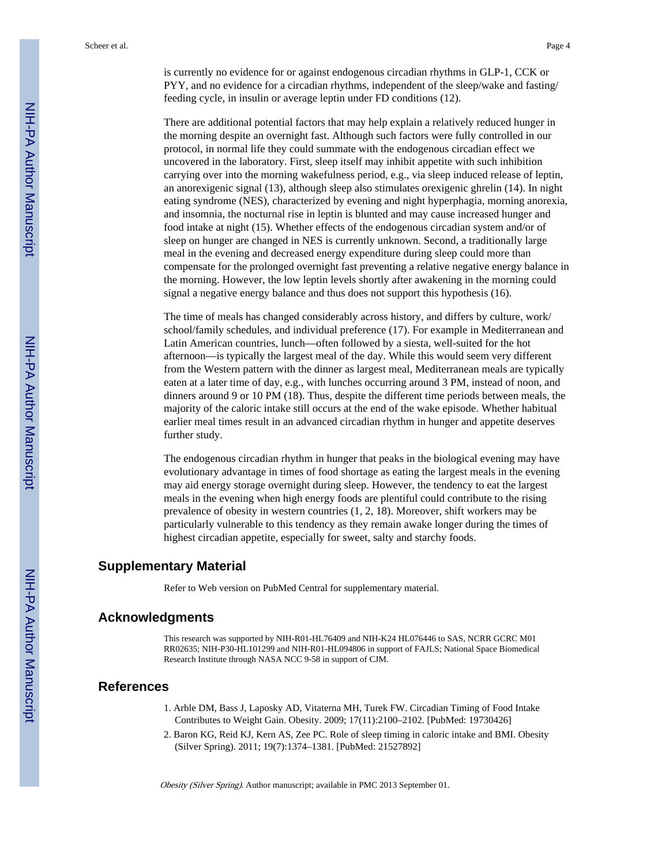is currently no evidence for or against endogenous circadian rhythms in GLP-1, CCK or PYY, and no evidence for a circadian rhythms, independent of the sleep/wake and fasting/ feeding cycle, in insulin or average leptin under FD conditions (12).

There are additional potential factors that may help explain a relatively reduced hunger in the morning despite an overnight fast. Although such factors were fully controlled in our protocol, in normal life they could summate with the endogenous circadian effect we uncovered in the laboratory. First, sleep itself may inhibit appetite with such inhibition carrying over into the morning wakefulness period, e.g., via sleep induced release of leptin, an anorexigenic signal (13), although sleep also stimulates orexigenic ghrelin (14). In night eating syndrome (NES), characterized by evening and night hyperphagia, morning anorexia, and insomnia, the nocturnal rise in leptin is blunted and may cause increased hunger and food intake at night (15). Whether effects of the endogenous circadian system and/or of sleep on hunger are changed in NES is currently unknown. Second, a traditionally large meal in the evening and decreased energy expenditure during sleep could more than compensate for the prolonged overnight fast preventing a relative negative energy balance in the morning. However, the low leptin levels shortly after awakening in the morning could signal a negative energy balance and thus does not support this hypothesis (16).

The time of meals has changed considerably across history, and differs by culture, work/ school/family schedules, and individual preference (17). For example in Mediterranean and Latin American countries, lunch—often followed by a siesta, well-suited for the hot afternoon—is typically the largest meal of the day. While this would seem very different from the Western pattern with the dinner as largest meal, Mediterranean meals are typically eaten at a later time of day, e.g., with lunches occurring around 3 PM, instead of noon, and dinners around 9 or 10 PM (18). Thus, despite the different time periods between meals, the majority of the caloric intake still occurs at the end of the wake episode. Whether habitual earlier meal times result in an advanced circadian rhythm in hunger and appetite deserves further study.

The endogenous circadian rhythm in hunger that peaks in the biological evening may have evolutionary advantage in times of food shortage as eating the largest meals in the evening may aid energy storage overnight during sleep. However, the tendency to eat the largest meals in the evening when high energy foods are plentiful could contribute to the rising prevalence of obesity in western countries (1, 2, 18). Moreover, shift workers may be particularly vulnerable to this tendency as they remain awake longer during the times of highest circadian appetite, especially for sweet, salty and starchy foods.

### **Supplementary Material**

Refer to Web version on PubMed Central for supplementary material.

### **Acknowledgments**

This research was supported by NIH-R01-HL76409 and NIH-K24 HL076446 to SAS, NCRR GCRC M01 RR02635; NIH-P30-HL101299 and NIH-R01-HL094806 in support of FAJLS; National Space Biomedical Research Institute through NASA NCC 9-58 in support of CJM.

### **References**

- 1. Arble DM, Bass J, Laposky AD, Vitaterna MH, Turek FW. Circadian Timing of Food Intake Contributes to Weight Gain. Obesity. 2009; 17(11):2100–2102. [PubMed: 19730426]
- 2. Baron KG, Reid KJ, Kern AS, Zee PC. Role of sleep timing in caloric intake and BMI. Obesity (Silver Spring). 2011; 19(7):1374–1381. [PubMed: 21527892]

Obesity (Silver Spring). Author manuscript; available in PMC 2013 September 01.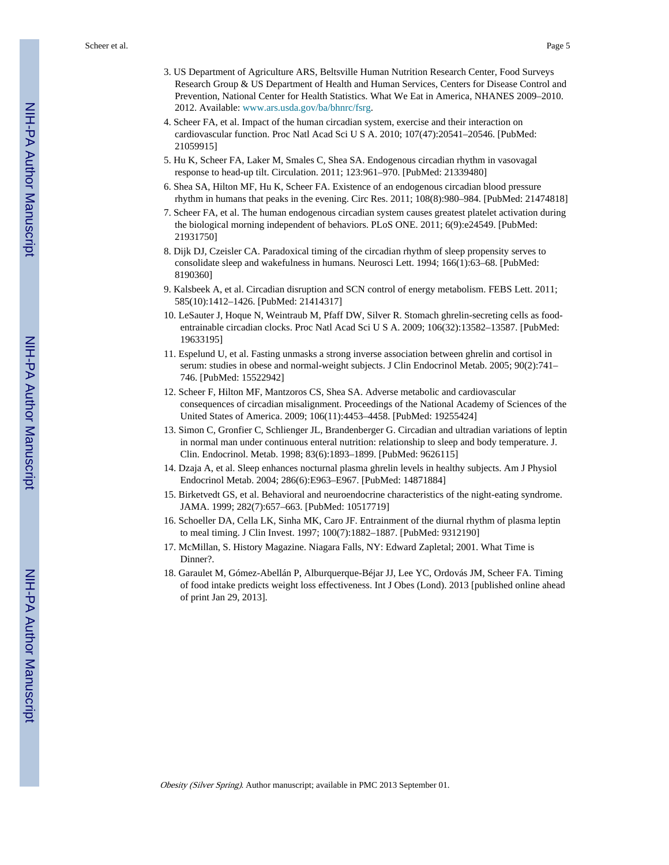- 3. US Department of Agriculture ARS, Beltsville Human Nutrition Research Center, Food Surveys Research Group & US Department of Health and Human Services, Centers for Disease Control and Prevention, National Center for Health Statistics. What We Eat in America, NHANES 2009–2010. 2012. Available: [www.ars.usda.gov/ba/bhnrc/fsrg](http://www.ars.usda.gov/ba/bhnrc/fsrg).
- 4. Scheer FA, et al. Impact of the human circadian system, exercise and their interaction on cardiovascular function. Proc Natl Acad Sci U S A. 2010; 107(47):20541–20546. [PubMed: 21059915]
- 5. Hu K, Scheer FA, Laker M, Smales C, Shea SA. Endogenous circadian rhythm in vasovagal response to head-up tilt. Circulation. 2011; 123:961–970. [PubMed: 21339480]
- 6. Shea SA, Hilton MF, Hu K, Scheer FA. Existence of an endogenous circadian blood pressure rhythm in humans that peaks in the evening. Circ Res. 2011; 108(8):980–984. [PubMed: 21474818]
- 7. Scheer FA, et al. The human endogenous circadian system causes greatest platelet activation during the biological morning independent of behaviors. PLoS ONE. 2011; 6(9):e24549. [PubMed: 21931750]
- 8. Dijk DJ, Czeisler CA. Paradoxical timing of the circadian rhythm of sleep propensity serves to consolidate sleep and wakefulness in humans. Neurosci Lett. 1994; 166(1):63–68. [PubMed: 8190360]
- 9. Kalsbeek A, et al. Circadian disruption and SCN control of energy metabolism. FEBS Lett. 2011; 585(10):1412–1426. [PubMed: 21414317]
- 10. LeSauter J, Hoque N, Weintraub M, Pfaff DW, Silver R. Stomach ghrelin-secreting cells as foodentrainable circadian clocks. Proc Natl Acad Sci U S A. 2009; 106(32):13582–13587. [PubMed: 19633195]
- 11. Espelund U, et al. Fasting unmasks a strong inverse association between ghrelin and cortisol in serum: studies in obese and normal-weight subjects. J Clin Endocrinol Metab. 2005; 90(2):741-746. [PubMed: 15522942]
- 12. Scheer F, Hilton MF, Mantzoros CS, Shea SA. Adverse metabolic and cardiovascular consequences of circadian misalignment. Proceedings of the National Academy of Sciences of the United States of America. 2009; 106(11):4453–4458. [PubMed: 19255424]
- 13. Simon C, Gronfier C, Schlienger JL, Brandenberger G. Circadian and ultradian variations of leptin in normal man under continuous enteral nutrition: relationship to sleep and body temperature. J. Clin. Endocrinol. Metab. 1998; 83(6):1893–1899. [PubMed: 9626115]
- 14. Dzaja A, et al. Sleep enhances nocturnal plasma ghrelin levels in healthy subjects. Am J Physiol Endocrinol Metab. 2004; 286(6):E963–E967. [PubMed: 14871884]
- 15. Birketvedt GS, et al. Behavioral and neuroendocrine characteristics of the night-eating syndrome. JAMA. 1999; 282(7):657–663. [PubMed: 10517719]
- 16. Schoeller DA, Cella LK, Sinha MK, Caro JF. Entrainment of the diurnal rhythm of plasma leptin to meal timing. J Clin Invest. 1997; 100(7):1882–1887. [PubMed: 9312190]
- 17. McMillan, S. History Magazine. Niagara Falls, NY: Edward Zapletal; 2001. What Time is Dinner?.
- 18. Garaulet M, Gómez-Abellán P, Alburquerque-Béjar JJ, Lee YC, Ordovás JM, Scheer FA. Timing of food intake predicts weight loss effectiveness. Int J Obes (Lond). 2013 [published online ahead of print Jan 29, 2013].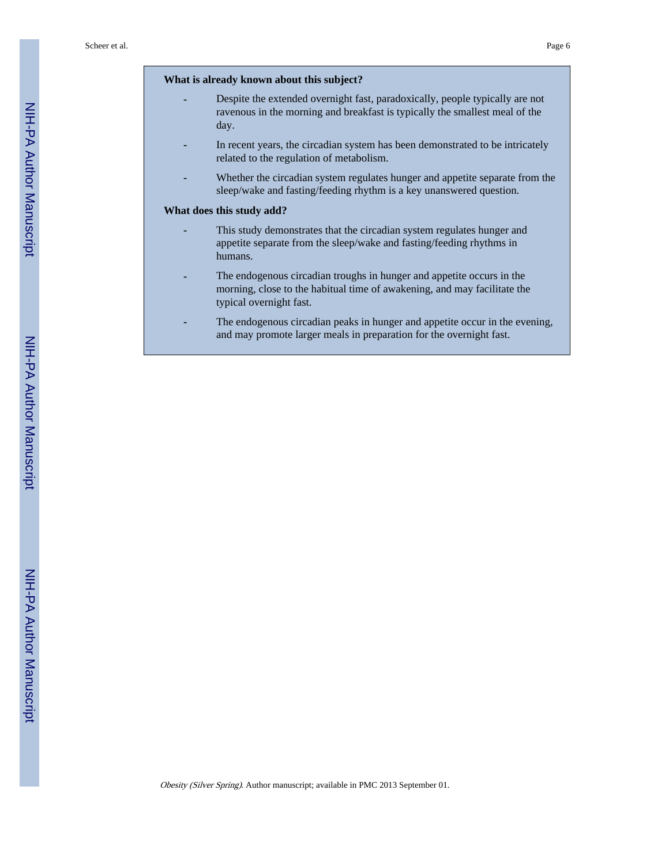#### **What is already known about this subject?**

- **-** Despite the extended overnight fast, paradoxically, people typically are not ravenous in the morning and breakfast is typically the smallest meal of the day.
- In recent years, the circadian system has been demonstrated to be intricately related to the regulation of metabolism.
- **-** Whether the circadian system regulates hunger and appetite separate from the sleep/wake and fasting/feeding rhythm is a key unanswered question.

#### **What does this study add?**

- **-** This study demonstrates that the circadian system regulates hunger and appetite separate from the sleep/wake and fasting/feeding rhythms in humans.
- **-** The endogenous circadian troughs in hunger and appetite occurs in the morning, close to the habitual time of awakening, and may facilitate the typical overnight fast.
- **-** The endogenous circadian peaks in hunger and appetite occur in the evening, and may promote larger meals in preparation for the overnight fast.